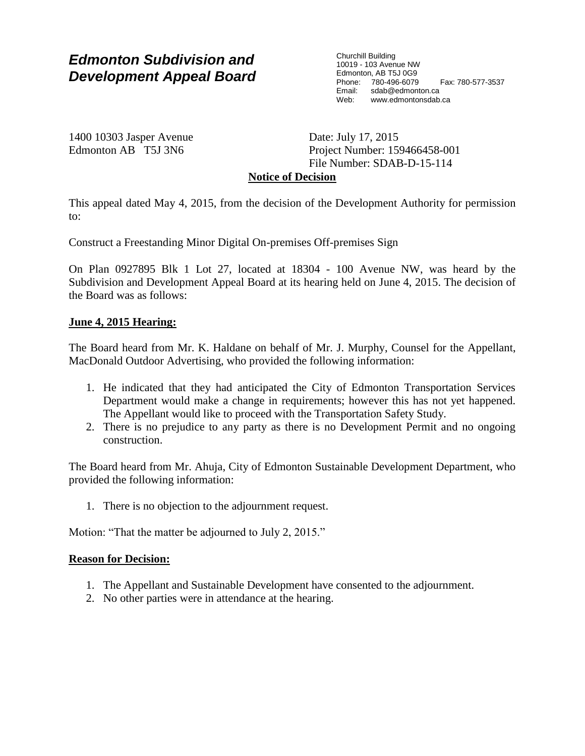# *Edmonton Subdivision and Development Appeal Board*

Churchill Building 10019 - 103 Avenue NW Edmonton, AB T5J 0G9 Phone: 780-496-6079 Fax: 780-577-3537 Email: sdab@edmonton.ca<br>Web: www.edmonton.ca Web: www.edmontonsdab.ca

1400 10303 Jasper Avenue Edmonton AB T5J 3N6

Date: July 17, 2015 Project Number: 159466458-001 File Number: SDAB-D-15-114

# **Notice of Decision**

This appeal dated May 4, 2015, from the decision of the Development Authority for permission to:

Construct a Freestanding Minor Digital On-premises Off-premises Sign

On Plan 0927895 Blk 1 Lot 27, located at 18304 - 100 Avenue NW, was heard by the Subdivision and Development Appeal Board at its hearing held on June 4, 2015. The decision of the Board was as follows:

# **June 4, 2015 Hearing:**

The Board heard from Mr. K. Haldane on behalf of Mr. J. Murphy, Counsel for the Appellant, MacDonald Outdoor Advertising, who provided the following information:

- 1. He indicated that they had anticipated the City of Edmonton Transportation Services Department would make a change in requirements; however this has not yet happened. The Appellant would like to proceed with the Transportation Safety Study.
- 2. There is no prejudice to any party as there is no Development Permit and no ongoing construction.

The Board heard from Mr. Ahuja, City of Edmonton Sustainable Development Department, who provided the following information:

1. There is no objection to the adjournment request.

Motion: "That the matter be adjourned to July 2, 2015."

#### **Reason for Decision:**

- 1. The Appellant and Sustainable Development have consented to the adjournment.
- 2. No other parties were in attendance at the hearing.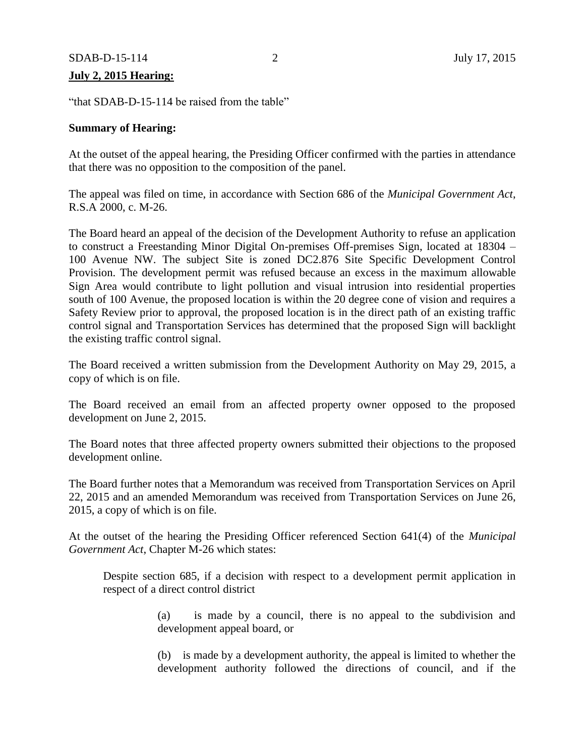# **July 2, 2015 Hearing:**

"that SDAB-D-15-114 be raised from the table"

# **Summary of Hearing:**

At the outset of the appeal hearing, the Presiding Officer confirmed with the parties in attendance that there was no opposition to the composition of the panel.

The appeal was filed on time, in accordance with Section 686 of the *Municipal Government Act*, R.S.A 2000, c. M-26.

The Board heard an appeal of the decision of the Development Authority to refuse an application to construct a Freestanding Minor Digital On-premises Off-premises Sign, located at 18304 – 100 Avenue NW. The subject Site is zoned DC2.876 Site Specific Development Control Provision. The development permit was refused because an excess in the maximum allowable Sign Area would contribute to light pollution and visual intrusion into residential properties south of 100 Avenue, the proposed location is within the 20 degree cone of vision and requires a Safety Review prior to approval, the proposed location is in the direct path of an existing traffic control signal and Transportation Services has determined that the proposed Sign will backlight the existing traffic control signal.

The Board received a written submission from the Development Authority on May 29, 2015, a copy of which is on file.

The Board received an email from an affected property owner opposed to the proposed development on June 2, 2015.

The Board notes that three affected property owners submitted their objections to the proposed development online.

The Board further notes that a Memorandum was received from Transportation Services on April 22, 2015 and an amended Memorandum was received from Transportation Services on June 26, 2015, a copy of which is on file.

At the outset of the hearing the Presiding Officer referenced Section 641(4) of the *Municipal Government Act*, Chapter M-26 which states:

Despite section 685, if a decision with respect to a development permit application in respect of a direct control district

> (a) is made by a council, there is no appeal to the subdivision and development appeal board, or

> (b) is made by a development authority, the appeal is limited to whether the development authority followed the directions of council, and if the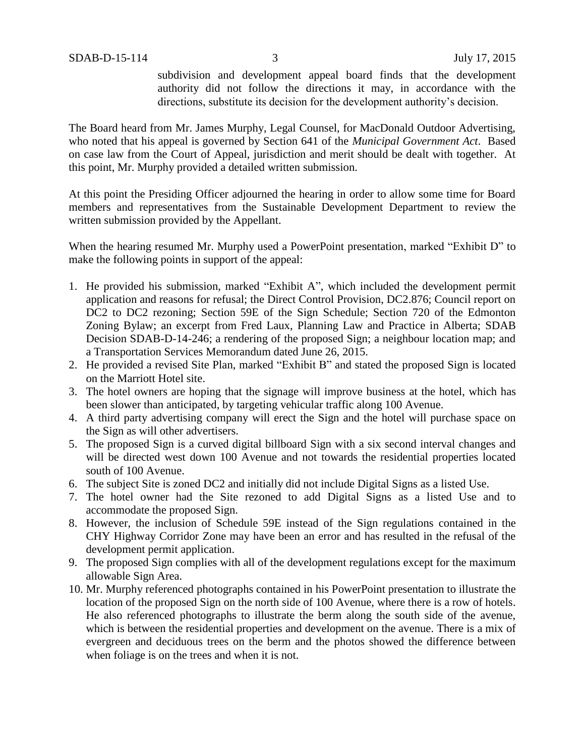subdivision and development appeal board finds that the development authority did not follow the directions it may, in accordance with the directions, substitute its decision for the development authority's decision.

The Board heard from Mr. James Murphy, Legal Counsel, for MacDonald Outdoor Advertising, who noted that his appeal is governed by Section 641 of the *Municipal Government Act*. Based on case law from the Court of Appeal, jurisdiction and merit should be dealt with together. At this point, Mr. Murphy provided a detailed written submission.

At this point the Presiding Officer adjourned the hearing in order to allow some time for Board members and representatives from the Sustainable Development Department to review the written submission provided by the Appellant.

When the hearing resumed Mr. Murphy used a PowerPoint presentation, marked "Exhibit D" to make the following points in support of the appeal:

- 1. He provided his submission, marked "Exhibit A", which included the development permit application and reasons for refusal; the Direct Control Provision, DC2.876; Council report on DC2 to DC2 rezoning; Section 59E of the Sign Schedule; Section 720 of the Edmonton Zoning Bylaw; an excerpt from Fred Laux, Planning Law and Practice in Alberta; SDAB Decision SDAB-D-14-246; a rendering of the proposed Sign; a neighbour location map; and a Transportation Services Memorandum dated June 26, 2015.
- 2. He provided a revised Site Plan, marked "Exhibit B" and stated the proposed Sign is located on the Marriott Hotel site.
- 3. The hotel owners are hoping that the signage will improve business at the hotel, which has been slower than anticipated, by targeting vehicular traffic along 100 Avenue.
- 4. A third party advertising company will erect the Sign and the hotel will purchase space on the Sign as will other advertisers.
- 5. The proposed Sign is a curved digital billboard Sign with a six second interval changes and will be directed west down 100 Avenue and not towards the residential properties located south of 100 Avenue.
- 6. The subject Site is zoned DC2 and initially did not include Digital Signs as a listed Use.
- 7. The hotel owner had the Site rezoned to add Digital Signs as a listed Use and to accommodate the proposed Sign.
- 8. However, the inclusion of Schedule 59E instead of the Sign regulations contained in the CHY Highway Corridor Zone may have been an error and has resulted in the refusal of the development permit application.
- 9. The proposed Sign complies with all of the development regulations except for the maximum allowable Sign Area.
- 10. Mr. Murphy referenced photographs contained in his PowerPoint presentation to illustrate the location of the proposed Sign on the north side of 100 Avenue, where there is a row of hotels. He also referenced photographs to illustrate the berm along the south side of the avenue, which is between the residential properties and development on the avenue. There is a mix of evergreen and deciduous trees on the berm and the photos showed the difference between when foliage is on the trees and when it is not.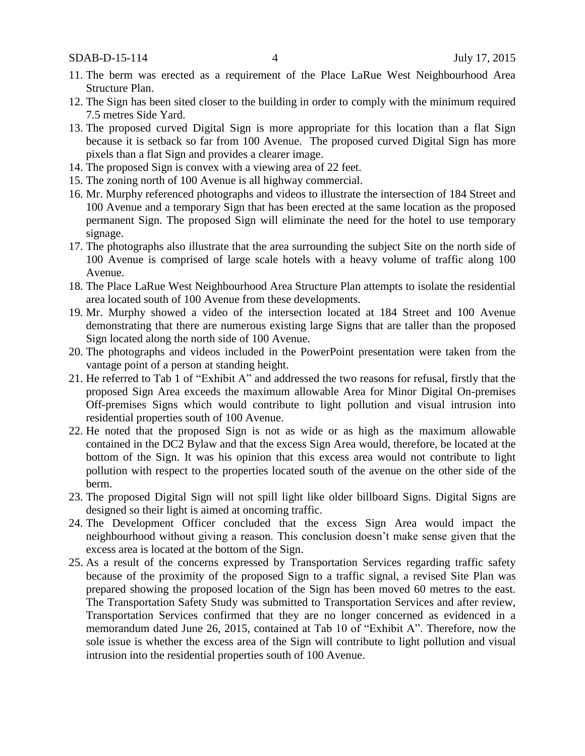SDAB-D-15-114 4 July 17, 2015

- 11. The berm was erected as a requirement of the Place LaRue West Neighbourhood Area Structure Plan.
- 12. The Sign has been sited closer to the building in order to comply with the minimum required 7.5 metres Side Yard.
- 13. The proposed curved Digital Sign is more appropriate for this location than a flat Sign because it is setback so far from 100 Avenue. The proposed curved Digital Sign has more pixels than a flat Sign and provides a clearer image.
- 14. The proposed Sign is convex with a viewing area of 22 feet.
- 15. The zoning north of 100 Avenue is all highway commercial.
- 16. Mr. Murphy referenced photographs and videos to illustrate the intersection of 184 Street and 100 Avenue and a temporary Sign that has been erected at the same location as the proposed permanent Sign. The proposed Sign will eliminate the need for the hotel to use temporary signage.
- 17. The photographs also illustrate that the area surrounding the subject Site on the north side of 100 Avenue is comprised of large scale hotels with a heavy volume of traffic along 100 Avenue.
- 18. The Place LaRue West Neighbourhood Area Structure Plan attempts to isolate the residential area located south of 100 Avenue from these developments.
- 19. Mr. Murphy showed a video of the intersection located at 184 Street and 100 Avenue demonstrating that there are numerous existing large Signs that are taller than the proposed Sign located along the north side of 100 Avenue.
- 20. The photographs and videos included in the PowerPoint presentation were taken from the vantage point of a person at standing height.
- 21. He referred to Tab 1 of "Exhibit A" and addressed the two reasons for refusal, firstly that the proposed Sign Area exceeds the maximum allowable Area for Minor Digital On-premises Off-premises Signs which would contribute to light pollution and visual intrusion into residential properties south of 100 Avenue.
- 22. He noted that the proposed Sign is not as wide or as high as the maximum allowable contained in the DC2 Bylaw and that the excess Sign Area would, therefore, be located at the bottom of the Sign. It was his opinion that this excess area would not contribute to light pollution with respect to the properties located south of the avenue on the other side of the berm.
- 23. The proposed Digital Sign will not spill light like older billboard Signs. Digital Signs are designed so their light is aimed at oncoming traffic.
- 24. The Development Officer concluded that the excess Sign Area would impact the neighbourhood without giving a reason. This conclusion doesn't make sense given that the excess area is located at the bottom of the Sign.
- 25. As a result of the concerns expressed by Transportation Services regarding traffic safety because of the proximity of the proposed Sign to a traffic signal, a revised Site Plan was prepared showing the proposed location of the Sign has been moved 60 metres to the east. The Transportation Safety Study was submitted to Transportation Services and after review, Transportation Services confirmed that they are no longer concerned as evidenced in a memorandum dated June 26, 2015, contained at Tab 10 of "Exhibit A". Therefore, now the sole issue is whether the excess area of the Sign will contribute to light pollution and visual intrusion into the residential properties south of 100 Avenue.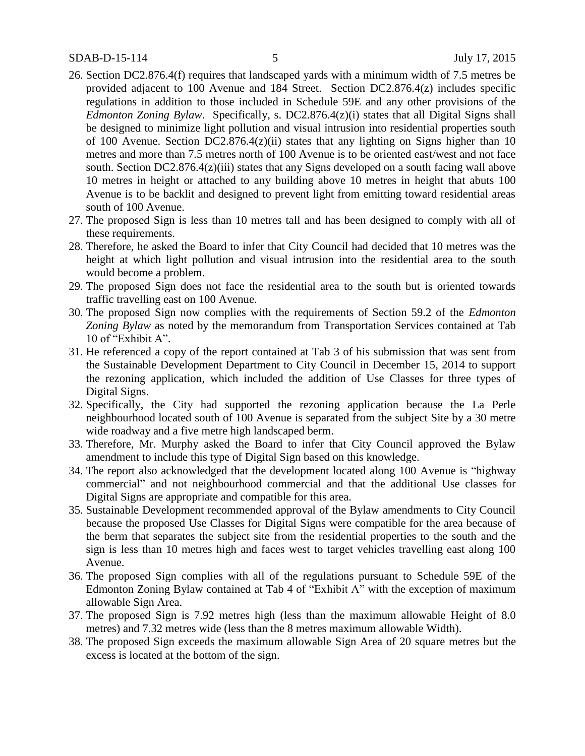- 26. Section DC2.876.4(f) requires that landscaped yards with a minimum width of 7.5 metres be provided adjacent to 100 Avenue and 184 Street. Section DC2.876.4(z) includes specific regulations in addition to those included in Schedule 59E and any other provisions of the *Edmonton Zoning Bylaw*. Specifically, s. DC2.876.4(z)(i) states that all Digital Signs shall be designed to minimize light pollution and visual intrusion into residential properties south of 100 Avenue. Section DC2.876.4(z)(ii) states that any lighting on Signs higher than 10 metres and more than 7.5 metres north of 100 Avenue is to be oriented east/west and not face south. Section DC2.876.4(z)(iii) states that any Signs developed on a south facing wall above 10 metres in height or attached to any building above 10 metres in height that abuts 100 Avenue is to be backlit and designed to prevent light from emitting toward residential areas south of 100 Avenue.
- 27. The proposed Sign is less than 10 metres tall and has been designed to comply with all of these requirements.
- 28. Therefore, he asked the Board to infer that City Council had decided that 10 metres was the height at which light pollution and visual intrusion into the residential area to the south would become a problem.
- 29. The proposed Sign does not face the residential area to the south but is oriented towards traffic travelling east on 100 Avenue.
- 30. The proposed Sign now complies with the requirements of Section 59.2 of the *Edmonton Zoning Bylaw* as noted by the memorandum from Transportation Services contained at Tab 10 of "Exhibit A".
- 31. He referenced a copy of the report contained at Tab 3 of his submission that was sent from the Sustainable Development Department to City Council in December 15, 2014 to support the rezoning application, which included the addition of Use Classes for three types of Digital Signs.
- 32. Specifically, the City had supported the rezoning application because the La Perle neighbourhood located south of 100 Avenue is separated from the subject Site by a 30 metre wide roadway and a five metre high landscaped berm.
- 33. Therefore, Mr. Murphy asked the Board to infer that City Council approved the Bylaw amendment to include this type of Digital Sign based on this knowledge.
- 34. The report also acknowledged that the development located along 100 Avenue is "highway commercial" and not neighbourhood commercial and that the additional Use classes for Digital Signs are appropriate and compatible for this area.
- 35. Sustainable Development recommended approval of the Bylaw amendments to City Council because the proposed Use Classes for Digital Signs were compatible for the area because of the berm that separates the subject site from the residential properties to the south and the sign is less than 10 metres high and faces west to target vehicles travelling east along 100 Avenue.
- 36. The proposed Sign complies with all of the regulations pursuant to Schedule 59E of the Edmonton Zoning Bylaw contained at Tab 4 of "Exhibit A" with the exception of maximum allowable Sign Area.
- 37. The proposed Sign is 7.92 metres high (less than the maximum allowable Height of 8.0 metres) and 7.32 metres wide (less than the 8 metres maximum allowable Width).
- 38. The proposed Sign exceeds the maximum allowable Sign Area of 20 square metres but the excess is located at the bottom of the sign.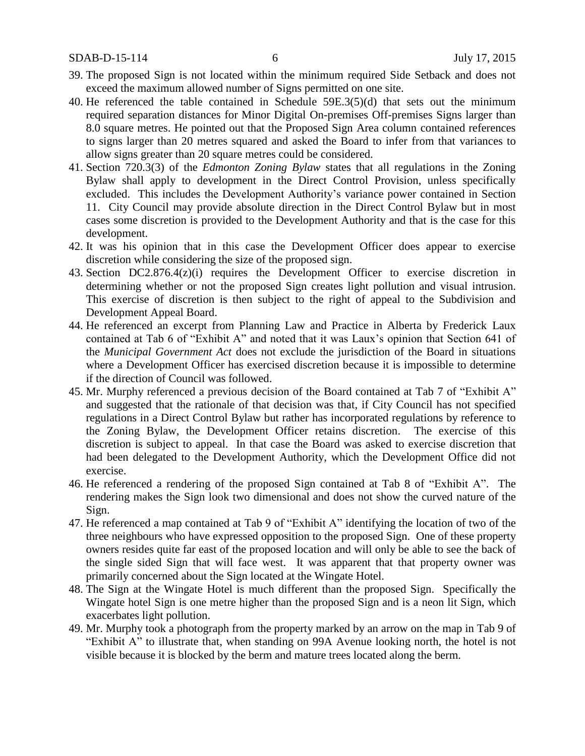- 39. The proposed Sign is not located within the minimum required Side Setback and does not exceed the maximum allowed number of Signs permitted on one site.
- 40. He referenced the table contained in Schedule 59E.3(5)(d) that sets out the minimum required separation distances for Minor Digital On-premises Off-premises Signs larger than 8.0 square metres. He pointed out that the Proposed Sign Area column contained references to signs larger than 20 metres squared and asked the Board to infer from that variances to allow signs greater than 20 square metres could be considered.
- 41. Section 720.3(3) of the *Edmonton Zoning Bylaw* states that all regulations in the Zoning Bylaw shall apply to development in the Direct Control Provision, unless specifically excluded. This includes the Development Authority's variance power contained in Section 11. City Council may provide absolute direction in the Direct Control Bylaw but in most cases some discretion is provided to the Development Authority and that is the case for this development.
- 42. It was his opinion that in this case the Development Officer does appear to exercise discretion while considering the size of the proposed sign.
- 43. Section DC2.876.4(z)(i) requires the Development Officer to exercise discretion in determining whether or not the proposed Sign creates light pollution and visual intrusion. This exercise of discretion is then subject to the right of appeal to the Subdivision and Development Appeal Board.
- 44. He referenced an excerpt from Planning Law and Practice in Alberta by Frederick Laux contained at Tab 6 of "Exhibit A" and noted that it was Laux's opinion that Section 641 of the *Municipal Government Act* does not exclude the jurisdiction of the Board in situations where a Development Officer has exercised discretion because it is impossible to determine if the direction of Council was followed.
- 45. Mr. Murphy referenced a previous decision of the Board contained at Tab 7 of "Exhibit A" and suggested that the rationale of that decision was that, if City Council has not specified regulations in a Direct Control Bylaw but rather has incorporated regulations by reference to the Zoning Bylaw, the Development Officer retains discretion. The exercise of this discretion is subject to appeal. In that case the Board was asked to exercise discretion that had been delegated to the Development Authority, which the Development Office did not exercise.
- 46. He referenced a rendering of the proposed Sign contained at Tab 8 of "Exhibit A". The rendering makes the Sign look two dimensional and does not show the curved nature of the Sign.
- 47. He referenced a map contained at Tab 9 of "Exhibit A" identifying the location of two of the three neighbours who have expressed opposition to the proposed Sign. One of these property owners resides quite far east of the proposed location and will only be able to see the back of the single sided Sign that will face west. It was apparent that that property owner was primarily concerned about the Sign located at the Wingate Hotel.
- 48. The Sign at the Wingate Hotel is much different than the proposed Sign. Specifically the Wingate hotel Sign is one metre higher than the proposed Sign and is a neon lit Sign, which exacerbates light pollution.
- 49. Mr. Murphy took a photograph from the property marked by an arrow on the map in Tab 9 of "Exhibit A" to illustrate that, when standing on 99A Avenue looking north, the hotel is not visible because it is blocked by the berm and mature trees located along the berm.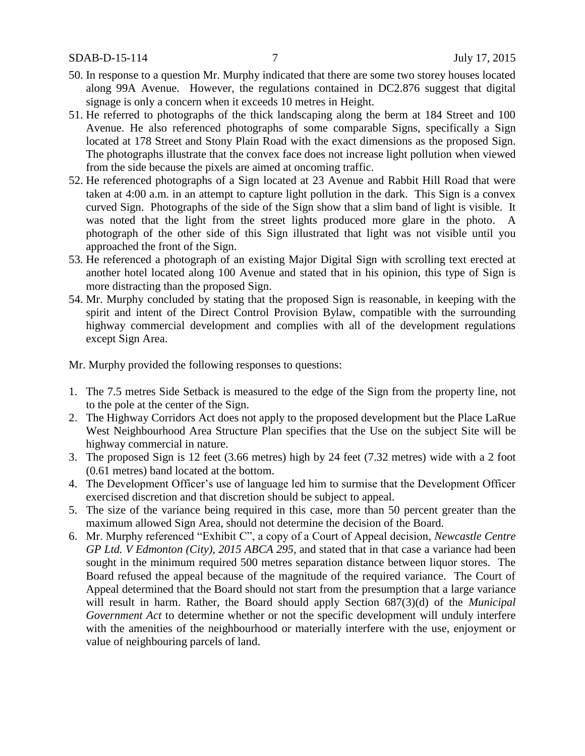- 50. In response to a question Mr. Murphy indicated that there are some two storey houses located along 99A Avenue. However, the regulations contained in DC2.876 suggest that digital signage is only a concern when it exceeds 10 metres in Height.
- 51. He referred to photographs of the thick landscaping along the berm at 184 Street and 100 Avenue. He also referenced photographs of some comparable Signs, specifically a Sign located at 178 Street and Stony Plain Road with the exact dimensions as the proposed Sign. The photographs illustrate that the convex face does not increase light pollution when viewed from the side because the pixels are aimed at oncoming traffic.
- 52. He referenced photographs of a Sign located at 23 Avenue and Rabbit Hill Road that were taken at 4:00 a.m. in an attempt to capture light pollution in the dark. This Sign is a convex curved Sign. Photographs of the side of the Sign show that a slim band of light is visible. It was noted that the light from the street lights produced more glare in the photo. A photograph of the other side of this Sign illustrated that light was not visible until you approached the front of the Sign.
- 53. He referenced a photograph of an existing Major Digital Sign with scrolling text erected at another hotel located along 100 Avenue and stated that in his opinion, this type of Sign is more distracting than the proposed Sign.
- 54. Mr. Murphy concluded by stating that the proposed Sign is reasonable, in keeping with the spirit and intent of the Direct Control Provision Bylaw, compatible with the surrounding highway commercial development and complies with all of the development regulations except Sign Area.

Mr. Murphy provided the following responses to questions:

- 1. The 7.5 metres Side Setback is measured to the edge of the Sign from the property line, not to the pole at the center of the Sign.
- 2. The Highway Corridors Act does not apply to the proposed development but the Place LaRue West Neighbourhood Area Structure Plan specifies that the Use on the subject Site will be highway commercial in nature.
- 3. The proposed Sign is 12 feet (3.66 metres) high by 24 feet (7.32 metres) wide with a 2 foot (0.61 metres) band located at the bottom.
- 4. The Development Officer's use of language led him to surmise that the Development Officer exercised discretion and that discretion should be subject to appeal.
- 5. The size of the variance being required in this case, more than 50 percent greater than the maximum allowed Sign Area, should not determine the decision of the Board.
- 6. Mr. Murphy referenced "Exhibit C", a copy of a Court of Appeal decision, *Newcastle Centre GP Ltd. V Edmonton (City), 2015 ABCA 295*, and stated that in that case a variance had been sought in the minimum required 500 metres separation distance between liquor stores. The Board refused the appeal because of the magnitude of the required variance. The Court of Appeal determined that the Board should not start from the presumption that a large variance will result in harm. Rather, the Board should apply Section 687(3)(d) of the *Municipal Government Act* to determine whether or not the specific development will unduly interfere with the amenities of the neighbourhood or materially interfere with the use, enjoyment or value of neighbouring parcels of land.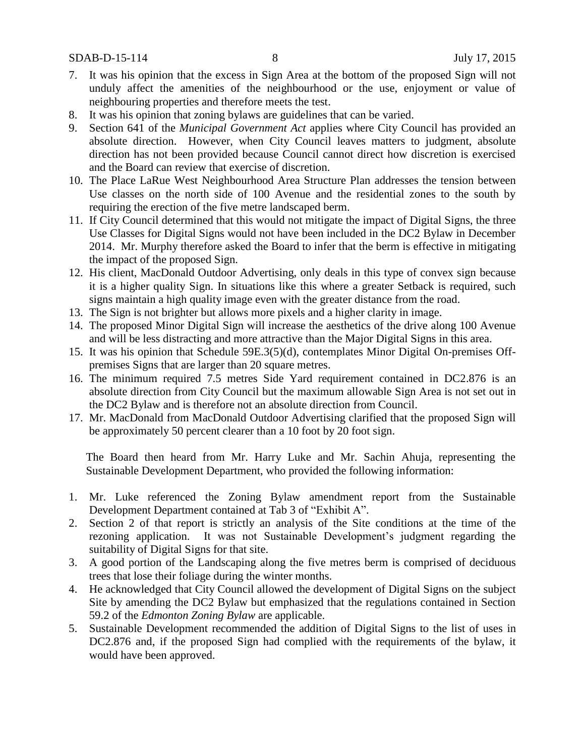- 7. It was his opinion that the excess in Sign Area at the bottom of the proposed Sign will not unduly affect the amenities of the neighbourhood or the use, enjoyment or value of neighbouring properties and therefore meets the test.
- 8. It was his opinion that zoning bylaws are guidelines that can be varied.
- 9. Section 641 of the *Municipal Government Act* applies where City Council has provided an absolute direction. However, when City Council leaves matters to judgment, absolute direction has not been provided because Council cannot direct how discretion is exercised and the Board can review that exercise of discretion.
- 10. The Place LaRue West Neighbourhood Area Structure Plan addresses the tension between Use classes on the north side of 100 Avenue and the residential zones to the south by requiring the erection of the five metre landscaped berm.
- 11. If City Council determined that this would not mitigate the impact of Digital Signs, the three Use Classes for Digital Signs would not have been included in the DC2 Bylaw in December 2014. Mr. Murphy therefore asked the Board to infer that the berm is effective in mitigating the impact of the proposed Sign.
- 12. His client, MacDonald Outdoor Advertising, only deals in this type of convex sign because it is a higher quality Sign. In situations like this where a greater Setback is required, such signs maintain a high quality image even with the greater distance from the road.
- 13. The Sign is not brighter but allows more pixels and a higher clarity in image.
- 14. The proposed Minor Digital Sign will increase the aesthetics of the drive along 100 Avenue and will be less distracting and more attractive than the Major Digital Signs in this area.
- 15. It was his opinion that Schedule 59E.3(5)(d), contemplates Minor Digital On-premises Offpremises Signs that are larger than 20 square metres.
- 16. The minimum required 7.5 metres Side Yard requirement contained in DC2.876 is an absolute direction from City Council but the maximum allowable Sign Area is not set out in the DC2 Bylaw and is therefore not an absolute direction from Council.
- 17. Mr. MacDonald from MacDonald Outdoor Advertising clarified that the proposed Sign will be approximately 50 percent clearer than a 10 foot by 20 foot sign.

The Board then heard from Mr. Harry Luke and Mr. Sachin Ahuja, representing the Sustainable Development Department, who provided the following information:

- 1. Mr. Luke referenced the Zoning Bylaw amendment report from the Sustainable Development Department contained at Tab 3 of "Exhibit A".
- 2. Section 2 of that report is strictly an analysis of the Site conditions at the time of the rezoning application. It was not Sustainable Development's judgment regarding the suitability of Digital Signs for that site.
- 3. A good portion of the Landscaping along the five metres berm is comprised of deciduous trees that lose their foliage during the winter months.
- 4. He acknowledged that City Council allowed the development of Digital Signs on the subject Site by amending the DC2 Bylaw but emphasized that the regulations contained in Section 59.2 of the *Edmonton Zoning Bylaw* are applicable.
- 5. Sustainable Development recommended the addition of Digital Signs to the list of uses in DC2.876 and, if the proposed Sign had complied with the requirements of the bylaw, it would have been approved.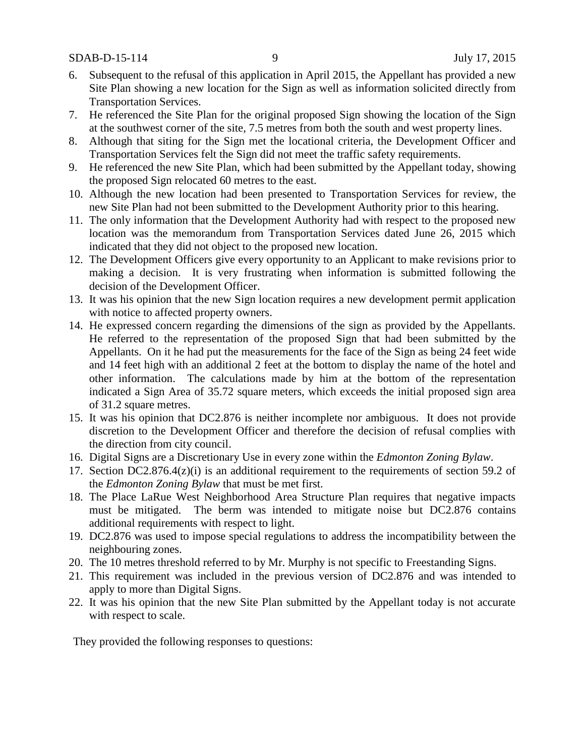- 6. Subsequent to the refusal of this application in April 2015, the Appellant has provided a new Site Plan showing a new location for the Sign as well as information solicited directly from Transportation Services.
- 7. He referenced the Site Plan for the original proposed Sign showing the location of the Sign at the southwest corner of the site, 7.5 metres from both the south and west property lines.
- 8. Although that siting for the Sign met the locational criteria, the Development Officer and Transportation Services felt the Sign did not meet the traffic safety requirements.
- 9. He referenced the new Site Plan, which had been submitted by the Appellant today, showing the proposed Sign relocated 60 metres to the east.
- 10. Although the new location had been presented to Transportation Services for review, the new Site Plan had not been submitted to the Development Authority prior to this hearing.
- 11. The only information that the Development Authority had with respect to the proposed new location was the memorandum from Transportation Services dated June 26, 2015 which indicated that they did not object to the proposed new location.
- 12. The Development Officers give every opportunity to an Applicant to make revisions prior to making a decision. It is very frustrating when information is submitted following the decision of the Development Officer.
- 13. It was his opinion that the new Sign location requires a new development permit application with notice to affected property owners.
- 14. He expressed concern regarding the dimensions of the sign as provided by the Appellants. He referred to the representation of the proposed Sign that had been submitted by the Appellants. On it he had put the measurements for the face of the Sign as being 24 feet wide and 14 feet high with an additional 2 feet at the bottom to display the name of the hotel and other information. The calculations made by him at the bottom of the representation indicated a Sign Area of 35.72 square meters, which exceeds the initial proposed sign area of 31.2 square metres.
- 15. It was his opinion that DC2.876 is neither incomplete nor ambiguous. It does not provide discretion to the Development Officer and therefore the decision of refusal complies with the direction from city council.
- 16. Digital Signs are a Discretionary Use in every zone within the *Edmonton Zoning Bylaw*.
- 17. Section DC2.876.4(z)(i) is an additional requirement to the requirements of section 59.2 of the *Edmonton Zoning Bylaw* that must be met first.
- 18. The Place LaRue West Neighborhood Area Structure Plan requires that negative impacts must be mitigated. The berm was intended to mitigate noise but DC2.876 contains additional requirements with respect to light.
- 19. DC2.876 was used to impose special regulations to address the incompatibility between the neighbouring zones.
- 20. The 10 metres threshold referred to by Mr. Murphy is not specific to Freestanding Signs.
- 21. This requirement was included in the previous version of DC2.876 and was intended to apply to more than Digital Signs.
- 22. It was his opinion that the new Site Plan submitted by the Appellant today is not accurate with respect to scale.

They provided the following responses to questions: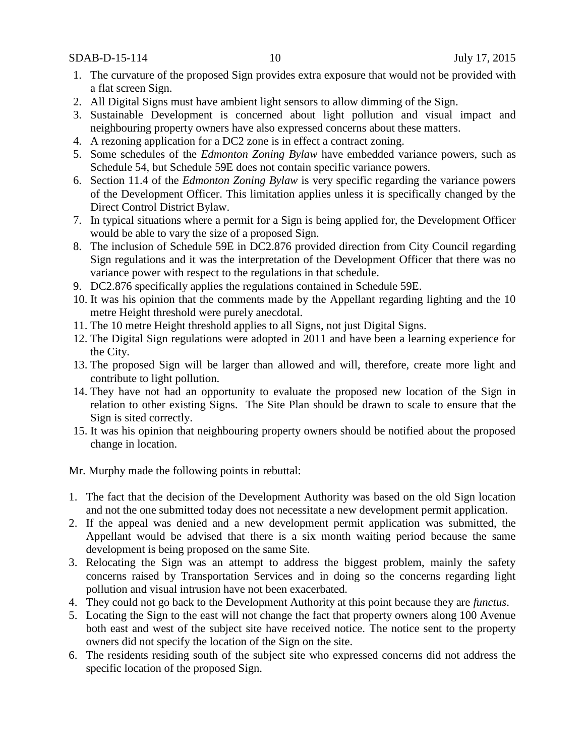SDAB-D-15-114 10 July 17, 2015

- 1. The curvature of the proposed Sign provides extra exposure that would not be provided with a flat screen Sign.
- 2. All Digital Signs must have ambient light sensors to allow dimming of the Sign.
- 3. Sustainable Development is concerned about light pollution and visual impact and neighbouring property owners have also expressed concerns about these matters.
- 4. A rezoning application for a DC2 zone is in effect a contract zoning.
- 5. Some schedules of the *Edmonton Zoning Bylaw* have embedded variance powers, such as Schedule 54, but Schedule 59E does not contain specific variance powers.
- 6. Section 11.4 of the *Edmonton Zoning Bylaw* is very specific regarding the variance powers of the Development Officer. This limitation applies unless it is specifically changed by the Direct Control District Bylaw.
- 7. In typical situations where a permit for a Sign is being applied for, the Development Officer would be able to vary the size of a proposed Sign.
- 8. The inclusion of Schedule 59E in DC2.876 provided direction from City Council regarding Sign regulations and it was the interpretation of the Development Officer that there was no variance power with respect to the regulations in that schedule.
- 9. DC2.876 specifically applies the regulations contained in Schedule 59E.
- 10. It was his opinion that the comments made by the Appellant regarding lighting and the 10 metre Height threshold were purely anecdotal.
- 11. The 10 metre Height threshold applies to all Signs, not just Digital Signs.
- 12. The Digital Sign regulations were adopted in 2011 and have been a learning experience for the City.
- 13. The proposed Sign will be larger than allowed and will, therefore, create more light and contribute to light pollution.
- 14. They have not had an opportunity to evaluate the proposed new location of the Sign in relation to other existing Signs. The Site Plan should be drawn to scale to ensure that the Sign is sited correctly.
- 15. It was his opinion that neighbouring property owners should be notified about the proposed change in location.

Mr. Murphy made the following points in rebuttal:

- 1. The fact that the decision of the Development Authority was based on the old Sign location and not the one submitted today does not necessitate a new development permit application.
- 2. If the appeal was denied and a new development permit application was submitted, the Appellant would be advised that there is a six month waiting period because the same development is being proposed on the same Site.
- 3. Relocating the Sign was an attempt to address the biggest problem, mainly the safety concerns raised by Transportation Services and in doing so the concerns regarding light pollution and visual intrusion have not been exacerbated.
- 4. They could not go back to the Development Authority at this point because they are *functus*.
- 5. Locating the Sign to the east will not change the fact that property owners along 100 Avenue both east and west of the subject site have received notice. The notice sent to the property owners did not specify the location of the Sign on the site.
- 6. The residents residing south of the subject site who expressed concerns did not address the specific location of the proposed Sign.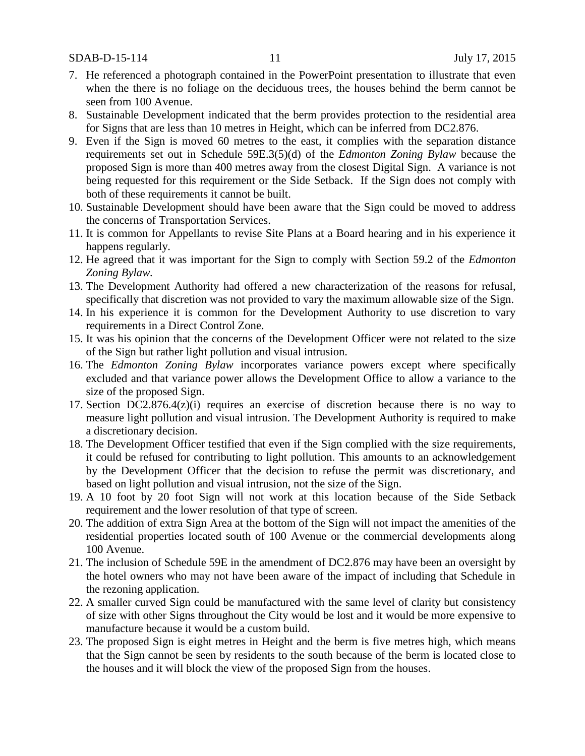- 7. He referenced a photograph contained in the PowerPoint presentation to illustrate that even when the there is no foliage on the deciduous trees, the houses behind the berm cannot be seen from 100 Avenue.
- 8. Sustainable Development indicated that the berm provides protection to the residential area for Signs that are less than 10 metres in Height, which can be inferred from DC2.876.
- 9. Even if the Sign is moved 60 metres to the east, it complies with the separation distance requirements set out in Schedule 59E.3(5)(d) of the *Edmonton Zoning Bylaw* because the proposed Sign is more than 400 metres away from the closest Digital Sign. A variance is not being requested for this requirement or the Side Setback. If the Sign does not comply with both of these requirements it cannot be built.
- 10. Sustainable Development should have been aware that the Sign could be moved to address the concerns of Transportation Services.
- 11. It is common for Appellants to revise Site Plans at a Board hearing and in his experience it happens regularly.
- 12. He agreed that it was important for the Sign to comply with Section 59.2 of the *Edmonton Zoning Bylaw.*
- 13. The Development Authority had offered a new characterization of the reasons for refusal, specifically that discretion was not provided to vary the maximum allowable size of the Sign.
- 14. In his experience it is common for the Development Authority to use discretion to vary requirements in a Direct Control Zone.
- 15. It was his opinion that the concerns of the Development Officer were not related to the size of the Sign but rather light pollution and visual intrusion.
- 16. The *Edmonton Zoning Bylaw* incorporates variance powers except where specifically excluded and that variance power allows the Development Office to allow a variance to the size of the proposed Sign.
- 17. Section DC2.876.4(z)(i) requires an exercise of discretion because there is no way to measure light pollution and visual intrusion. The Development Authority is required to make a discretionary decision.
- 18. The Development Officer testified that even if the Sign complied with the size requirements, it could be refused for contributing to light pollution. This amounts to an acknowledgement by the Development Officer that the decision to refuse the permit was discretionary, and based on light pollution and visual intrusion, not the size of the Sign.
- 19. A 10 foot by 20 foot Sign will not work at this location because of the Side Setback requirement and the lower resolution of that type of screen.
- 20. The addition of extra Sign Area at the bottom of the Sign will not impact the amenities of the residential properties located south of 100 Avenue or the commercial developments along 100 Avenue.
- 21. The inclusion of Schedule 59E in the amendment of DC2.876 may have been an oversight by the hotel owners who may not have been aware of the impact of including that Schedule in the rezoning application.
- 22. A smaller curved Sign could be manufactured with the same level of clarity but consistency of size with other Signs throughout the City would be lost and it would be more expensive to manufacture because it would be a custom build.
- 23. The proposed Sign is eight metres in Height and the berm is five metres high, which means that the Sign cannot be seen by residents to the south because of the berm is located close to the houses and it will block the view of the proposed Sign from the houses.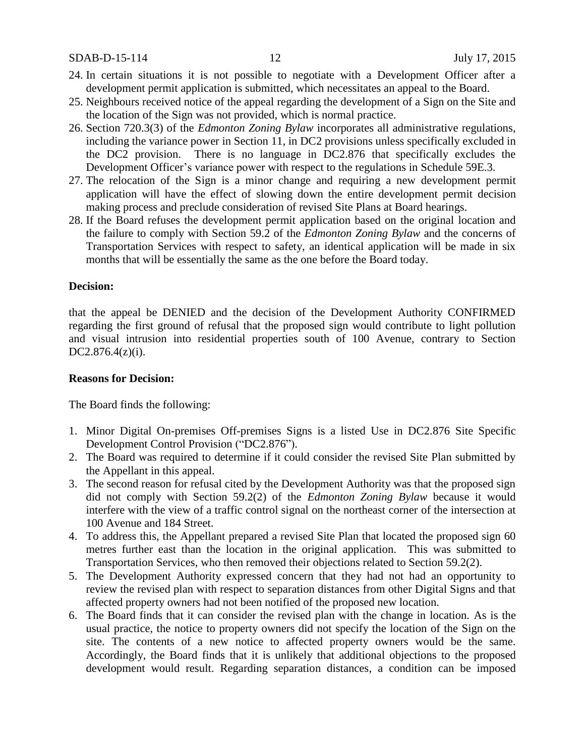SDAB-D-15-114 12 July 17, 2015

- 24. In certain situations it is not possible to negotiate with a Development Officer after a development permit application is submitted, which necessitates an appeal to the Board.
- 25. Neighbours received notice of the appeal regarding the development of a Sign on the Site and the location of the Sign was not provided, which is normal practice.
- 26. Section 720.3(3) of the *Edmonton Zoning Bylaw* incorporates all administrative regulations, including the variance power in Section 11, in DC2 provisions unless specifically excluded in the DC2 provision. There is no language in DC2.876 that specifically excludes the Development Officer's variance power with respect to the regulations in Schedule 59E.3.
- 27. The relocation of the Sign is a minor change and requiring a new development permit application will have the effect of slowing down the entire development permit decision making process and preclude consideration of revised Site Plans at Board hearings.
- 28. If the Board refuses the development permit application based on the original location and the failure to comply with Section 59.2 of the *Edmonton Zoning Bylaw* and the concerns of Transportation Services with respect to safety, an identical application will be made in six months that will be essentially the same as the one before the Board today.

#### **Decision:**

that the appeal be DENIED and the decision of the Development Authority CONFIRMED regarding the first ground of refusal that the proposed sign would contribute to light pollution and visual intrusion into residential properties south of 100 Avenue, contrary to Section DC2.876.4(z)(i).

### **Reasons for Decision:**

The Board finds the following:

- 1. Minor Digital On-premises Off-premises Signs is a listed Use in DC2.876 Site Specific Development Control Provision ("DC2.876").
- 2. The Board was required to determine if it could consider the revised Site Plan submitted by the Appellant in this appeal.
- 3. The second reason for refusal cited by the Development Authority was that the proposed sign did not comply with Section 59.2(2) of the *Edmonton Zoning Bylaw* because it would interfere with the view of a traffic control signal on the northeast corner of the intersection at 100 Avenue and 184 Street.
- 4. To address this, the Appellant prepared a revised Site Plan that located the proposed sign 60 metres further east than the location in the original application. This was submitted to Transportation Services, who then removed their objections related to Section 59.2(2).
- 5. The Development Authority expressed concern that they had not had an opportunity to review the revised plan with respect to separation distances from other Digital Signs and that affected property owners had not been notified of the proposed new location.
- 6. The Board finds that it can consider the revised plan with the change in location. As is the usual practice, the notice to property owners did not specify the location of the Sign on the site. The contents of a new notice to affected property owners would be the same. Accordingly, the Board finds that it is unlikely that additional objections to the proposed development would result. Regarding separation distances, a condition can be imposed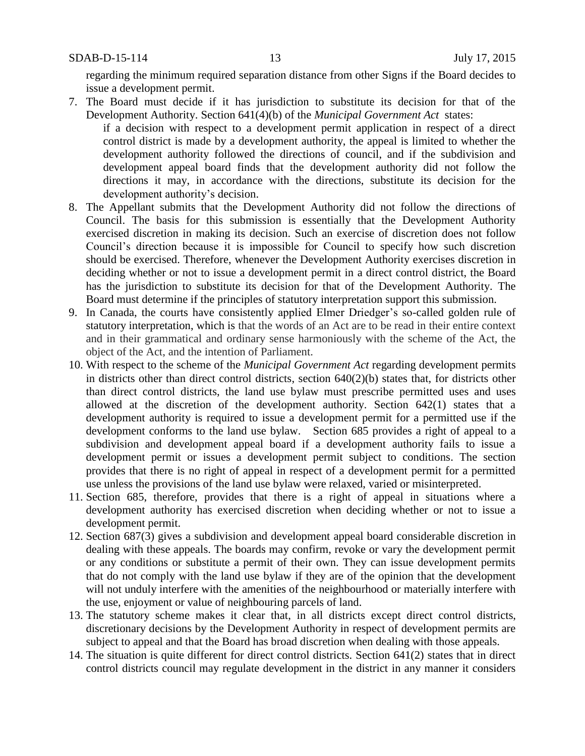regarding the minimum required separation distance from other Signs if the Board decides to issue a development permit.

7. The Board must decide if it has jurisdiction to substitute its decision for that of the Development Authority. Section 641(4)(b) of the *Municipal Government Act* states: if a decision with respect to a development permit application in respect of a direct

control district is made by a development authority, the appeal is limited to whether the development authority followed the directions of council, and if the subdivision and development appeal board finds that the development authority did not follow the directions it may, in accordance with the directions, substitute its decision for the development authority's decision.

- 8. The Appellant submits that the Development Authority did not follow the directions of Council. The basis for this submission is essentially that the Development Authority exercised discretion in making its decision. Such an exercise of discretion does not follow Council's direction because it is impossible for Council to specify how such discretion should be exercised. Therefore, whenever the Development Authority exercises discretion in deciding whether or not to issue a development permit in a direct control district, the Board has the jurisdiction to substitute its decision for that of the Development Authority. The Board must determine if the principles of statutory interpretation support this submission.
- 9. In Canada, the courts have consistently applied Elmer Driedger's so-called golden rule of statutory interpretation, which is that the words of an Act are to be read in their entire context and in their grammatical and ordinary sense harmoniously with the scheme of the Act, the object of the Act, and the intention of Parliament.
- 10. With respect to the scheme of the *Municipal Government Act* regarding development permits in districts other than direct control districts, section  $640(2)(b)$  states that, for districts other than direct control districts, the land use bylaw must prescribe permitted uses and uses allowed at the discretion of the development authority. Section 642(1) states that a development authority is required to issue a development permit for a permitted use if the development conforms to the land use bylaw. Section 685 provides a right of appeal to a subdivision and development appeal board if a development authority fails to issue a development permit or issues a development permit subject to conditions. The section provides that there is no right of appeal in respect of a development permit for a permitted use unless the provisions of the land use bylaw were relaxed, varied or misinterpreted.
- 11. Section 685, therefore, provides that there is a right of appeal in situations where a development authority has exercised discretion when deciding whether or not to issue a development permit.
- 12. Section 687(3) gives a subdivision and development appeal board considerable discretion in dealing with these appeals. The boards may confirm, revoke or vary the development permit or any conditions or substitute a permit of their own. They can issue development permits that do not comply with the land use bylaw if they are of the opinion that the development will not unduly interfere with the amenities of the neighbourhood or materially interfere with the use, enjoyment or value of neighbouring parcels of land.
- 13. The statutory scheme makes it clear that, in all districts except direct control districts, discretionary decisions by the Development Authority in respect of development permits are subject to appeal and that the Board has broad discretion when dealing with those appeals.
- 14. The situation is quite different for direct control districts. Section 641(2) states that in direct control districts council may regulate development in the district in any manner it considers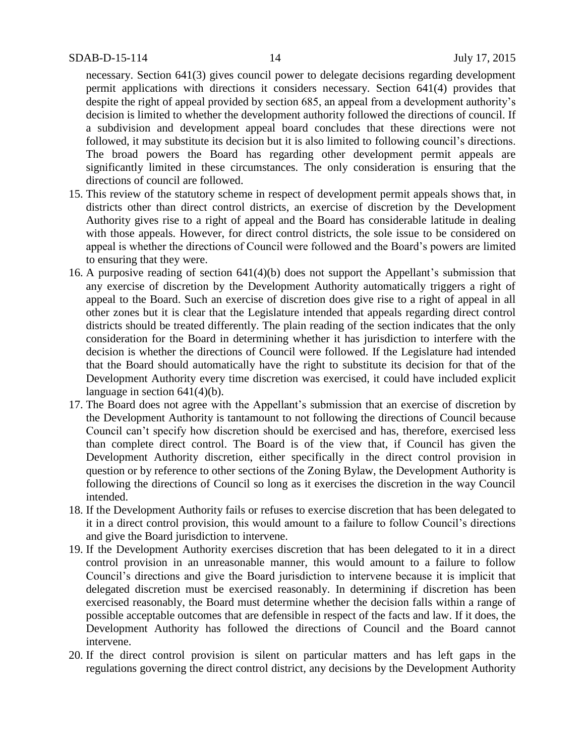necessary. Section 641(3) gives council power to delegate decisions regarding development permit applications with directions it considers necessary. Section 641(4) provides that despite the right of appeal provided by section 685, an appeal from a development authority's decision is limited to whether the development authority followed the directions of council. If a subdivision and development appeal board concludes that these directions were not followed, it may substitute its decision but it is also limited to following council's directions. The broad powers the Board has regarding other development permit appeals are significantly limited in these circumstances. The only consideration is ensuring that the directions of council are followed.

- 15. This review of the statutory scheme in respect of development permit appeals shows that, in districts other than direct control districts, an exercise of discretion by the Development Authority gives rise to a right of appeal and the Board has considerable latitude in dealing with those appeals. However, for direct control districts, the sole issue to be considered on appeal is whether the directions of Council were followed and the Board's powers are limited to ensuring that they were.
- 16. A purposive reading of section 641(4)(b) does not support the Appellant's submission that any exercise of discretion by the Development Authority automatically triggers a right of appeal to the Board. Such an exercise of discretion does give rise to a right of appeal in all other zones but it is clear that the Legislature intended that appeals regarding direct control districts should be treated differently. The plain reading of the section indicates that the only consideration for the Board in determining whether it has jurisdiction to interfere with the decision is whether the directions of Council were followed. If the Legislature had intended that the Board should automatically have the right to substitute its decision for that of the Development Authority every time discretion was exercised, it could have included explicit language in section 641(4)(b).
- 17. The Board does not agree with the Appellant's submission that an exercise of discretion by the Development Authority is tantamount to not following the directions of Council because Council can't specify how discretion should be exercised and has, therefore, exercised less than complete direct control. The Board is of the view that, if Council has given the Development Authority discretion, either specifically in the direct control provision in question or by reference to other sections of the Zoning Bylaw, the Development Authority is following the directions of Council so long as it exercises the discretion in the way Council intended.
- 18. If the Development Authority fails or refuses to exercise discretion that has been delegated to it in a direct control provision, this would amount to a failure to follow Council's directions and give the Board jurisdiction to intervene.
- 19. If the Development Authority exercises discretion that has been delegated to it in a direct control provision in an unreasonable manner, this would amount to a failure to follow Council's directions and give the Board jurisdiction to intervene because it is implicit that delegated discretion must be exercised reasonably. In determining if discretion has been exercised reasonably, the Board must determine whether the decision falls within a range of possible acceptable outcomes that are defensible in respect of the facts and law. If it does, the Development Authority has followed the directions of Council and the Board cannot intervene.
- 20. If the direct control provision is silent on particular matters and has left gaps in the regulations governing the direct control district, any decisions by the Development Authority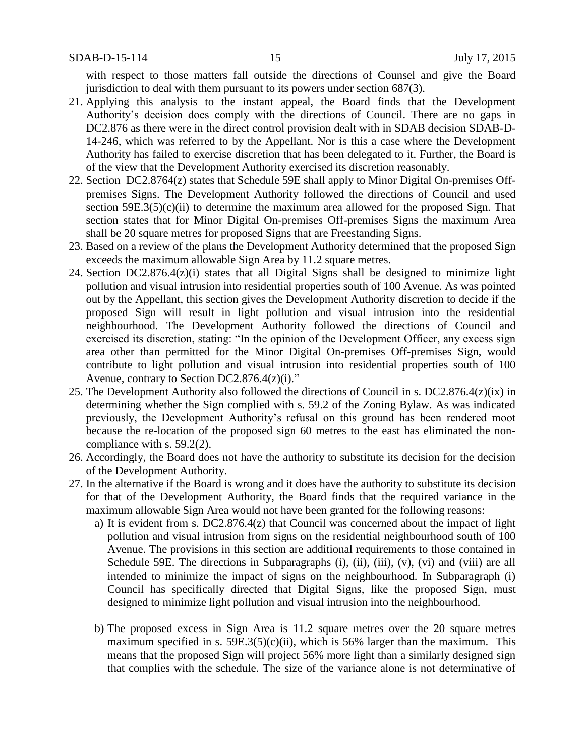with respect to those matters fall outside the directions of Counsel and give the Board jurisdiction to deal with them pursuant to its powers under section 687(3).

- 21. Applying this analysis to the instant appeal, the Board finds that the Development Authority's decision does comply with the directions of Council. There are no gaps in DC2.876 as there were in the direct control provision dealt with in SDAB decision SDAB-D-14-246, which was referred to by the Appellant. Nor is this a case where the Development Authority has failed to exercise discretion that has been delegated to it. Further, the Board is of the view that the Development Authority exercised its discretion reasonably.
- 22. Section DC2.8764(z) states that Schedule 59E shall apply to Minor Digital On-premises Offpremises Signs. The Development Authority followed the directions of Council and used section  $59E.3(5)(c)(ii)$  to determine the maximum area allowed for the proposed Sign. That section states that for Minor Digital On-premises Off-premises Signs the maximum Area shall be 20 square metres for proposed Signs that are Freestanding Signs.
- 23. Based on a review of the plans the Development Authority determined that the proposed Sign exceeds the maximum allowable Sign Area by 11.2 square metres.
- 24. Section DC2.876.4(z)(i) states that all Digital Signs shall be designed to minimize light pollution and visual intrusion into residential properties south of 100 Avenue. As was pointed out by the Appellant, this section gives the Development Authority discretion to decide if the proposed Sign will result in light pollution and visual intrusion into the residential neighbourhood. The Development Authority followed the directions of Council and exercised its discretion, stating: "In the opinion of the Development Officer, any excess sign area other than permitted for the Minor Digital On-premises Off-premises Sign, would contribute to light pollution and visual intrusion into residential properties south of 100 Avenue, contrary to Section DC2.876.4(z)(i)."
- 25. The Development Authority also followed the directions of Council in s. DC2.876.4(z)(ix) in determining whether the Sign complied with s. 59.2 of the Zoning Bylaw. As was indicated previously, the Development Authority's refusal on this ground has been rendered moot because the re-location of the proposed sign 60 metres to the east has eliminated the noncompliance with s. 59.2(2).
- 26. Accordingly, the Board does not have the authority to substitute its decision for the decision of the Development Authority.
- 27. In the alternative if the Board is wrong and it does have the authority to substitute its decision for that of the Development Authority, the Board finds that the required variance in the maximum allowable Sign Area would not have been granted for the following reasons:
	- a) It is evident from s. DC2.876.4(z) that Council was concerned about the impact of light pollution and visual intrusion from signs on the residential neighbourhood south of 100 Avenue. The provisions in this section are additional requirements to those contained in Schedule 59E. The directions in Subparagraphs (i), (ii), (iii), (v), (vi) and (viii) are all intended to minimize the impact of signs on the neighbourhood. In Subparagraph (i) Council has specifically directed that Digital Signs, like the proposed Sign, must designed to minimize light pollution and visual intrusion into the neighbourhood.
	- b) The proposed excess in Sign Area is 11.2 square metres over the 20 square metres maximum specified in s.  $59E.3(5)(c)(ii)$ , which is 56% larger than the maximum. This means that the proposed Sign will project 56% more light than a similarly designed sign that complies with the schedule. The size of the variance alone is not determinative of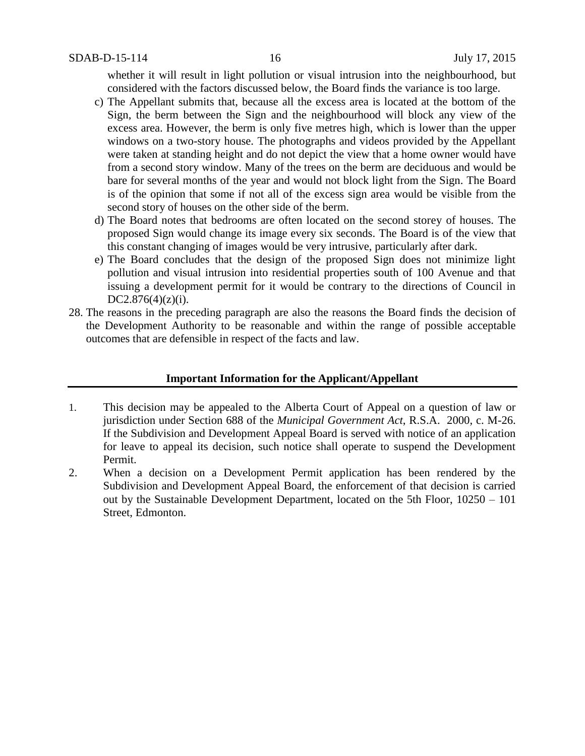whether it will result in light pollution or visual intrusion into the neighbourhood, but considered with the factors discussed below, the Board finds the variance is too large.

- c) The Appellant submits that, because all the excess area is located at the bottom of the Sign, the berm between the Sign and the neighbourhood will block any view of the excess area. However, the berm is only five metres high, which is lower than the upper windows on a two-story house. The photographs and videos provided by the Appellant were taken at standing height and do not depict the view that a home owner would have from a second story window. Many of the trees on the berm are deciduous and would be bare for several months of the year and would not block light from the Sign. The Board is of the opinion that some if not all of the excess sign area would be visible from the second story of houses on the other side of the berm.
- d) The Board notes that bedrooms are often located on the second storey of houses. The proposed Sign would change its image every six seconds. The Board is of the view that this constant changing of images would be very intrusive, particularly after dark.
- e) The Board concludes that the design of the proposed Sign does not minimize light pollution and visual intrusion into residential properties south of 100 Avenue and that issuing a development permit for it would be contrary to the directions of Council in  $DC2.876(4)(z)(i)$ .
- 28. The reasons in the preceding paragraph are also the reasons the Board finds the decision of the Development Authority to be reasonable and within the range of possible acceptable outcomes that are defensible in respect of the facts and law.

## **Important Information for the Applicant/Appellant**

- 1. This decision may be appealed to the Alberta Court of Appeal on a question of law or jurisdiction under Section 688 of the *Municipal Government Act*, R.S.A. 2000, c. M-26. If the Subdivision and Development Appeal Board is served with notice of an application for leave to appeal its decision, such notice shall operate to suspend the Development Permit.
- 2. When a decision on a Development Permit application has been rendered by the Subdivision and Development Appeal Board, the enforcement of that decision is carried out by the Sustainable Development Department, located on the 5th Floor, 10250 – 101 Street, Edmonton.